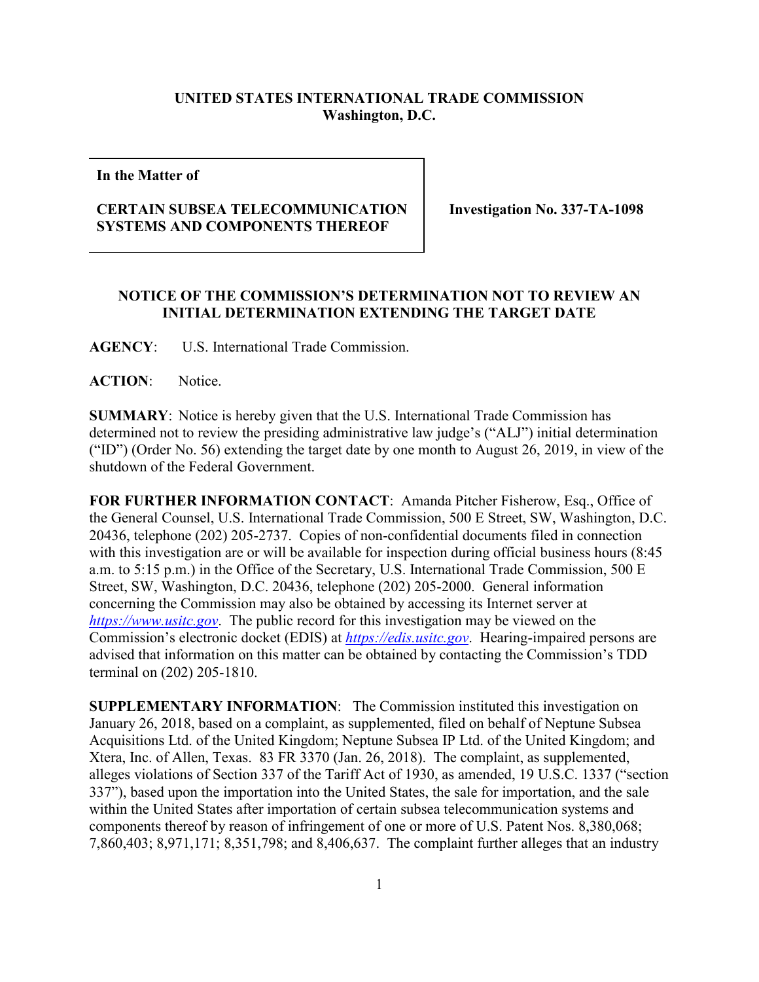## **UNITED STATES INTERNATIONAL TRADE COMMISSION Washington, D.C.**

**In the Matter of**

## **CERTAIN SUBSEA TELECOMMUNICATION SYSTEMS AND COMPONENTS THEREOF**

**Investigation No. 337-TA-1098**

## **NOTICE OF THE COMMISSION'S DETERMINATION NOT TO REVIEW AN INITIAL DETERMINATION EXTENDING THE TARGET DATE**

**AGENCY**: U.S. International Trade Commission.

**ACTION**: Notice.

**SUMMARY**: Notice is hereby given that the U.S. International Trade Commission has determined not to review the presiding administrative law judge's ("ALJ") initial determination ("ID") (Order No. 56) extending the target date by one month to August 26, 2019, in view of the shutdown of the Federal Government.

**FOR FURTHER INFORMATION CONTACT**: Amanda Pitcher Fisherow, Esq., Office of the General Counsel, U.S. International Trade Commission, 500 E Street, SW, Washington, D.C. 20436, telephone (202) 205-2737. Copies of non-confidential documents filed in connection with this investigation are or will be available for inspection during official business hours (8:45 a.m. to 5:15 p.m.) in the Office of the Secretary, U.S. International Trade Commission, 500 E Street, SW, Washington, D.C. 20436, telephone (202) 205-2000. General information concerning the Commission may also be obtained by accessing its Internet server at *[https://www.usitc.gov](https://www.usitc.gov/)*. The public record for this investigation may be viewed on the Commission's electronic docket (EDIS) at *[https://edis.usitc.gov](https://edis.usitc.gov/)*. Hearing-impaired persons are advised that information on this matter can be obtained by contacting the Commission's TDD terminal on (202) 205-1810.

**SUPPLEMENTARY INFORMATION**: The Commission instituted this investigation on January 26, 2018, based on a complaint, as supplemented, filed on behalf of Neptune Subsea Acquisitions Ltd. of the United Kingdom; Neptune Subsea IP Ltd. of the United Kingdom; and Xtera, Inc. of Allen, Texas. 83 FR 3370 (Jan. 26, 2018). The complaint, as supplemented, alleges violations of Section 337 of the Tariff Act of 1930, as amended, 19 U.S.C. 1337 ("section 337"), based upon the importation into the United States, the sale for importation, and the sale within the United States after importation of certain subsea telecommunication systems and components thereof by reason of infringement of one or more of U.S. Patent Nos. 8,380,068; 7,860,403; 8,971,171; 8,351,798; and 8,406,637. The complaint further alleges that an industry